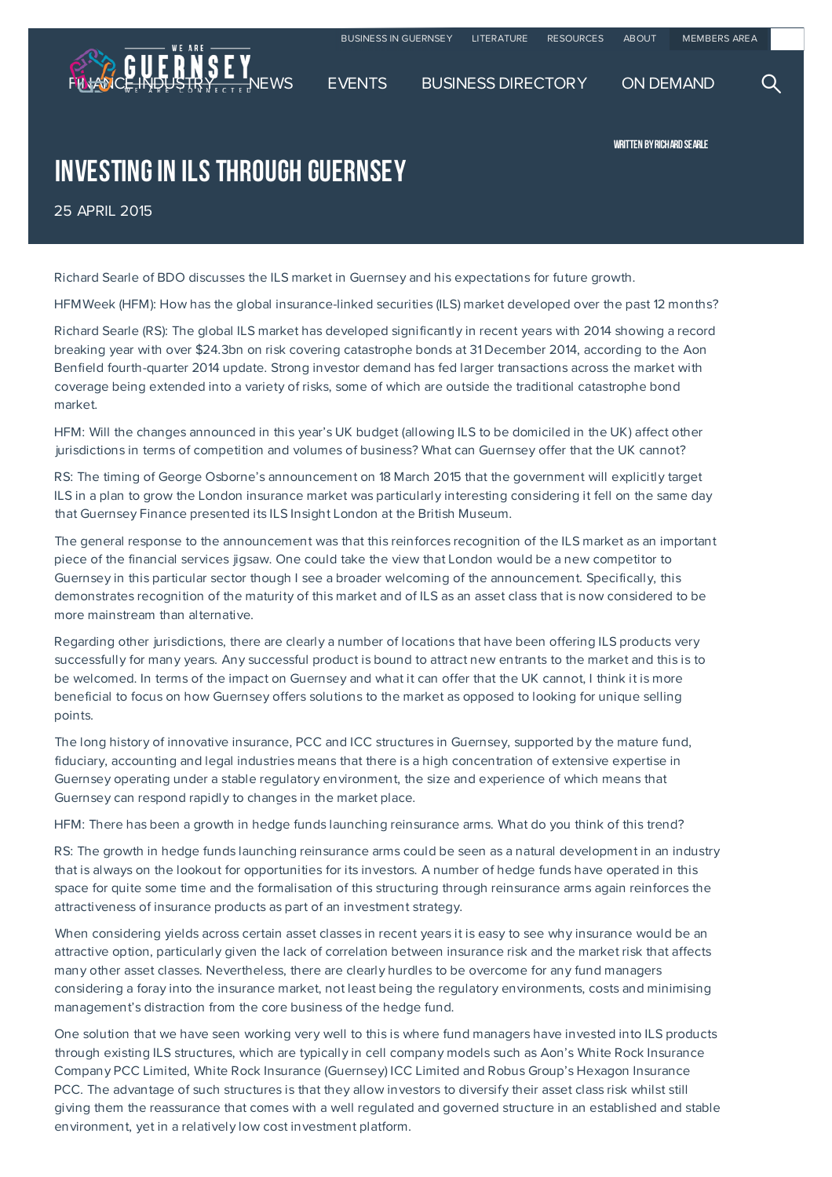

WRITTEN BY RICHARD SEARLE

INVESTING IN ILS THROUGH GUERNSEY

25 APRIL 2015

Richard Searle of BDO discusses the ILS market in Guernsey and his expectations for future growth.

HFMWeek (HFM): How has the global insurance-linked securities (ILS) market developed over the past 12 months?

Richard Searle (RS): The global ILS market has developed significantly in recent years with 2014 showing a record breaking year with over \$24.3bn on risk covering catastrophe bonds at 31 December 2014, according to the Aon Benfield fourth-quarter 2014 update. Strong investor demand has fed larger transactions across the market with coverage being extended into a variety of risks, some of which are outside the traditional catastrophe bond market.

HFM: Will the changes announced in this year's UK budget (allowing ILS to be domiciled in the UK) affect other jurisdictions in terms of competition and volumes of business? What can Guernsey offer that the UK cannot?

RS: The timing of George Osborne's announcement on 18 March 2015 that the government will explicitly target ILS in a plan to grow the London insurance market was particularly interesting considering it fell on the same day that Guernsey Finance presented its ILS Insight London at the British Museum.

The general response to the announcement was that this reinforces recognition of the ILS market as an important piece of the financial services jigsaw. One could take the view that London would be a new competitor to Guernsey in this particular sector though I see a broader welcoming of the announcement. Specifically, this demonstrates recognition of the maturity of this market and of ILS as an asset class that is now considered to be more mainstream than alternative.

Regarding other jurisdictions, there are clearly a number of locations that have been offering ILS products very successfully for many years. Any successful product is bound to attract new entrants to the market and this is to be welcomed. In terms of the impact on Guernsey and what it can offer that the UK cannot, I think it is more beneficial to focus on how Guernsey offers solutions to the market as opposed to looking for unique selling points.

The long history of innovative insurance, PCC and ICC structures in Guernsey, supported by the mature fund, fiduciary, accounting and legal industries means that there is a high concentration of extensive expertise in Guernsey operating under a stable regulatory environment, the size and experience of which means that Guernsey can respond rapidly to changes in the market place.

HFM: There has been a growth in hedge funds launching reinsurance arms. What do you think of this trend?

RS: The growth in hedge funds launching reinsurance arms could be seen as a natural development in an industry that is always on the lookout for opportunities for its investors. A number of hedge funds have operated in this space for quite some time and the formalisation of this structuring through reinsurance arms again reinforces the attractiveness of insurance products as part of an investment strategy.

When considering yields across certain asset classes in recent years it is easy to see why insurance would be an attractive option, particularly given the lack of correlation between insurance risk and the market risk that affects many other asset classes. Nevertheless, there are clearly hurdles to be overcome for any fund managers considering a foray into the insurance market, not least being the regulatory environments, costs and minimising management's distraction from the core business of the hedge fund.

One solution that we have seen working very well to this is where fund managers have invested into ILS products through existing ILS structures, which are typically in cell company models such as Aon's White Rock Insurance Company PCC Limited, White Rock Insurance (Guernsey) ICC Limited and Robus Group's Hexagon Insurance PCC. The advantage of such structures is that they allow investors to diversify their asset class risk whilst still giving them the reassurance that comes with a well regulated and governed structure in an established and stable environment, yet in a relatively low cost investment platform.